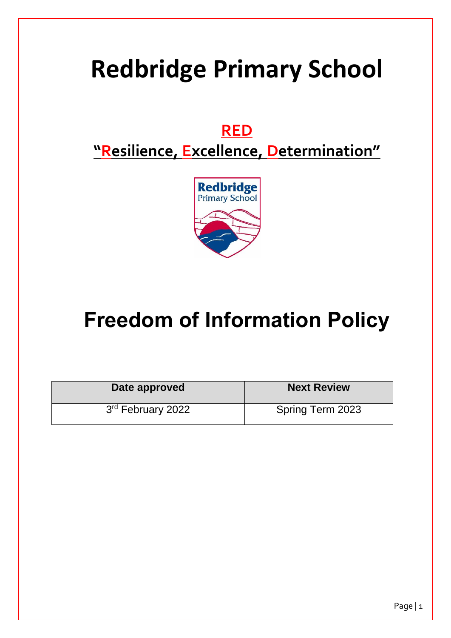# **Redbridge Primary School**

### **RED**

## **"Resilience, Excellence, Determination"**



## **Freedom of Information Policy**

| Date approved                 | <b>Next Review</b> |
|-------------------------------|--------------------|
| 3 <sup>rd</sup> February 2022 | Spring Term 2023   |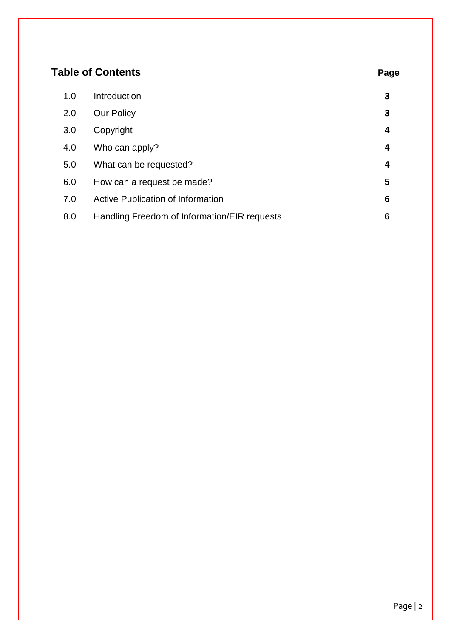| <b>Table of Contents</b> |                                              | Page |
|--------------------------|----------------------------------------------|------|
| 1.0                      | Introduction                                 | 3    |
| 2.0                      | <b>Our Policy</b>                            | 3    |
| 3.0                      | Copyright                                    | 4    |
| 4.0                      | Who can apply?                               | 4    |
| 5.0                      | What can be requested?                       | 4    |
| 6.0                      | How can a request be made?                   | 5    |
| 7.0                      | <b>Active Publication of Information</b>     | 6    |
| 8.0                      | Handling Freedom of Information/EIR requests | 6    |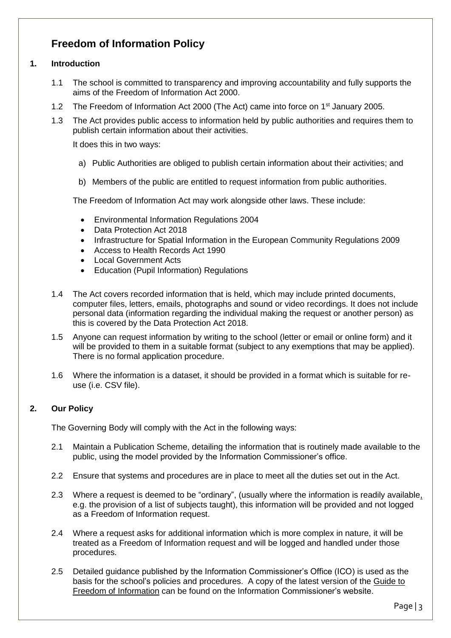#### **Freedom of Information Policy**

#### **1. Introduction**

- 1.1 The school is committed to transparency and improving accountability and fully supports the aims of the Freedom of Information Act 2000.
- 1.2 The Freedom of Information Act 2000 (The Act) came into force on 1<sup>st</sup> January 2005.
- 1.3 The Act provides public access to information held by public authorities and requires them to publish certain information about their activities.

It does this in two ways:

- a) Public Authorities are obliged to publish certain information about their activities; and
- b) Members of the public are entitled to request information from public authorities.

The Freedom of Information Act may work alongside other laws. These include:

- Environmental Information Regulations 2004
- Data Protection Act 2018
- Infrastructure for Spatial Information in the European Community Regulations 2009
- Access to Health Records Act 1990
- **Local Government Acts**
- Education (Pupil Information) Regulations
- 1.4 The Act covers recorded information that is held, which may include printed documents, computer files, letters, emails, photographs and sound or video recordings. It does not include personal data (information regarding the individual making the request or another person) as this is covered by the Data Protection Act 2018.
- 1.5 Anyone can request information by writing to the school (letter or email or online form) and it will be provided to them in a suitable format (subject to any exemptions that may be applied). There is no formal application procedure.
- 1.6 Where the information is a dataset, it should be provided in a format which is suitable for reuse (i.e. CSV file).

#### **2. Our Policy**

The Governing Body will comply with the Act in the following ways:

- 2.1 Maintain a Publication Scheme, detailing the information that is routinely made available to the public, using the model provided by the Information Commissioner's office.
- 2.2 Ensure that systems and procedures are in place to meet all the duties set out in the Act.
- 2.3 Where a request is deemed to be "ordinary", (usually where the information is readily available, e.g. the provision of a list of subjects taught), this information will be provided and not logged as a Freedom of Information request.
- 2.4 Where a request asks for additional information which is more complex in nature, it will be treated as a Freedom of Information request and will be logged and handled under those procedures.
- 2.5 Detailed guidance published by the Information Commissioner's Office (ICO) is used as the basis for the school's policies and procedures. A copy of the latest version of the [Guide to](http://www.ico.gov.uk/for_organisations/freedom_of_information/~/media/documents/library/Freedom_of_Information/Detailed_specialist_guides/GUIDE_TO_FREEDOM_OF_INFORMATION.ashx)  [Freedom of Information](http://www.ico.gov.uk/for_organisations/freedom_of_information/~/media/documents/library/Freedom_of_Information/Detailed_specialist_guides/GUIDE_TO_FREEDOM_OF_INFORMATION.ashx) can be found on the Information Commissioner's website.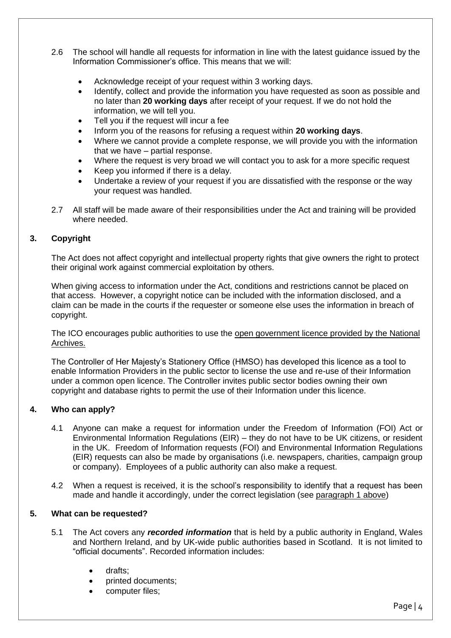- 2.6 The school will handle all requests for information in line with the latest guidance issued by the Information Commissioner's office. This means that we will:
	- Acknowledge receipt of your request within 3 working days.
	- Identify, collect and provide the information you have requested as soon as possible and no later than **20 working days** after receipt of your request. If we do not hold the information, we will tell you.
	- Tell you if the request will incur a fee
	- Inform you of the reasons for refusing a request within **20 working days**.
	- Where we cannot provide a complete response, we will provide you with the information that we have – partial response.
	- Where the request is very broad we will contact you to ask for a more specific request
	- Keep you informed if there is a delay.
	- Undertake a review of your request if you are dissatisfied with the response or the way your request was handled.
- <span id="page-3-0"></span>2.7 All staff will be made aware of their responsibilities under the Act and training will be provided where needed.

#### **3. Copyright**

The Act does not affect copyright and intellectual property rights that give owners the right to protect their original work against commercial exploitation by others.

When giving access to information under the Act, conditions and restrictions cannot be placed on that access. However, a copyright notice can be included with the information disclosed, and a claim can be made in the courts if the requester or someone else uses the information in breach of copyright.

The ICO encourages public authorities to use the [open government licence provided by the National](http://www.nationalarchives.gov.uk/doc/open-government-licence/)  [Archives.](http://www.nationalarchives.gov.uk/doc/open-government-licence/)

The Controller of Her Majesty's Stationery Office (HMSO) has developed this licence as a tool to enable Information Providers in the public sector to license the use and re-use of their Information under a common open licence. The Controller invites public sector bodies owning their own copyright and database rights to permit the use of their Information under this licence.

#### **4. Who can apply?**

- 4.1 Anyone can make a request for information under the Freedom of Information (FOI) Act or Environmental Information Regulations (EIR) – they do not have to be UK citizens, or resident in the UK. Freedom of Information requests (FOI) and Environmental Information Regulations (EIR) requests can also be made by organisations (i.e. newspapers, charities, campaign group or company). Employees of a public authority can also make a request.
- 4.2 When a request is received, it is the school's responsibility to identify that a request has been made and handle it accordingly, under the correct legislation (see [paragraph 1 above\)](#page-3-0)

#### **5. What can be requested?**

- 5.1 The Act covers any *recorded information* that is held by a public authority in England, Wales and Northern Ireland, and by UK-wide public authorities based in Scotland. It is not limited to "official documents". Recorded information includes:
	- drafts;
	- printed documents;
	- computer files;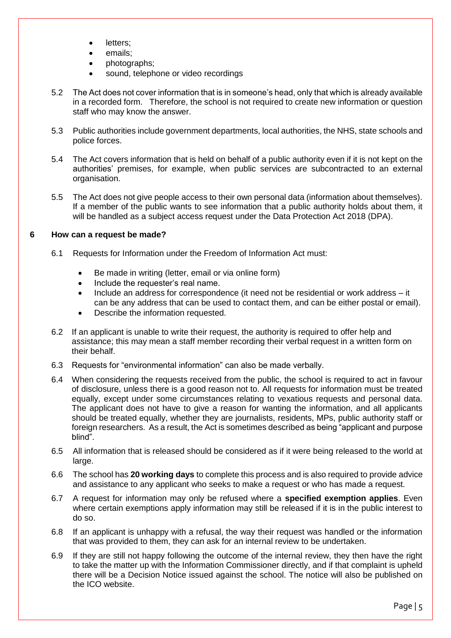- letters;
- emails;
- photographs;
- sound, telephone or video recordings
- 5.2 The Act does not cover information that is in someone's head, only that which is already available in a recorded form. Therefore, the school is not required to create new information or question staff who may know the answer.
- 5.3 Public authorities include government departments, local authorities, the NHS, state schools and police forces.
- 5.4 The Act covers information that is held on behalf of a public authority even if it is not kept on the authorities' premises, for example, when public services are subcontracted to an external organisation.
- 5.5 The Act does not give people access to their own personal data (information about themselves). If a member of the public wants to see information that a public authority holds about them, it will be handled as a subject access request under the Data Protection Act 2018 (DPA).

#### **6 How can a request be made?**

- 6.1 Requests for Information under the Freedom of Information Act must:
	- Be made in writing (letter, email or via online form)
	- Include the requester's real name.
	- Include an address for correspondence (it need not be residential or work address it can be any address that can be used to contact them, and can be either postal or email).
	- Describe the information requested.
- 6.2 If an applicant is unable to write their request, the authority is required to offer help and assistance; this may mean a staff member recording their verbal request in a written form on their behalf.
- 6.3 Requests for "environmental information" can also be made verbally.
- 6.4 When considering the requests received from the public, the school is required to act in favour of disclosure, unless there is a good reason not to. All requests for information must be treated equally, except under some circumstances relating to vexatious requests and personal data. The applicant does not have to give a reason for wanting the information, and all applicants should be treated equally, whether they are journalists, residents, MPs, public authority staff or foreign researchers. As a result, the Act is sometimes described as being "applicant and purpose blind".
- 6.5 All information that is released should be considered as if it were being released to the world at large.
- 6.6 The school has **20 working days** to complete this process and is also required to provide advice and assistance to any applicant who seeks to make a request or who has made a request.
- 6.7 A request for information may only be refused where a **specified exemption applies**. Even where certain exemptions apply information may still be released if it is in the public interest to do so.
- 6.8 If an applicant is unhappy with a refusal, the way their request was handled or the information that was provided to them, they can ask for an internal review to be undertaken.
- 6.9 If they are still not happy following the outcome of the internal review, they then have the right to take the matter up with the Information Commissioner directly, and if that complaint is upheld there will be a Decision Notice issued against the school. The notice will also be published on the ICO website.